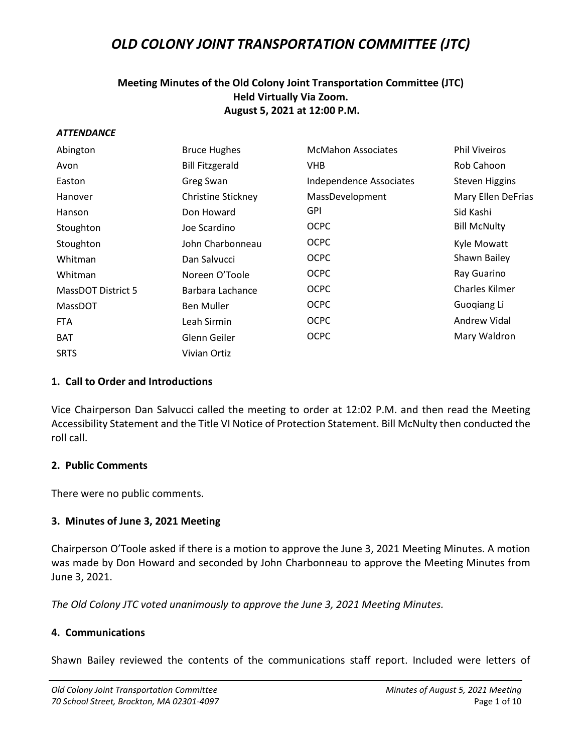#### **Meeting Minutes of the Old Colony Joint Transportation Committee (JTC) Held Virtually Via Zoom. August 5, 2021 at 12:00 P.M.**

#### *ATTENDANCE*

| Abington                  | <b>Bruce Hughes</b>       | <b>McMahon Associates</b> | <b>Phil Viveiros</b>  |
|---------------------------|---------------------------|---------------------------|-----------------------|
| Avon                      | <b>Bill Fitzgerald</b>    | VHB.                      | Rob Cahoon            |
| Easton                    | Greg Swan                 | Independence Associates   | <b>Steven Higgins</b> |
| Hanover                   | <b>Christine Stickney</b> | MassDevelopment           | Mary Ellen DeFrias    |
| Hanson                    | Don Howard                | <b>GPI</b>                | Sid Kashi             |
| Stoughton                 | Joe Scardino              | <b>OCPC</b>               | <b>Bill McNulty</b>   |
| Stoughton                 | John Charbonneau          | <b>OCPC</b>               | Kyle Mowatt           |
| Whitman                   | Dan Salvucci              | <b>OCPC</b>               | Shawn Bailey          |
| Whitman                   | Noreen O'Toole            | <b>OCPC</b>               | Ray Guarino           |
| <b>MassDOT District 5</b> | Barbara Lachance          | <b>OCPC</b>               | <b>Charles Kilmer</b> |
| <b>MassDOT</b>            | <b>Ben Muller</b>         | <b>OCPC</b>               | Guogiang Li           |
| <b>FTA</b>                | Leah Sirmin               | <b>OCPC</b>               | Andrew Vidal          |
| <b>BAT</b>                | Glenn Geiler              | <b>OCPC</b>               | Mary Waldron          |
| <b>SRTS</b>               | Vivian Ortiz              |                           |                       |

#### **1. Call to Order and Introductions**

Vice Chairperson Dan Salvucci called the meeting to order at 12:02 P.M. and then read the Meeting Accessibility Statement and the Title VI Notice of Protection Statement. Bill McNulty then conducted the roll call.

#### **2. Public Comments**

There were no public comments.

#### **3. Minutes of June 3, 2021 Meeting**

Chairperson O'Toole asked if there is a motion to approve the June 3, 2021 Meeting Minutes. A motion was made by Don Howard and seconded by John Charbonneau to approve the Meeting Minutes from June 3, 2021.

*The Old Colony JTC voted unanimously to approve the June 3, 2021 Meeting Minutes.*

#### **4. Communications**

Shawn Bailey reviewed the contents of the communications staff report. Included were letters of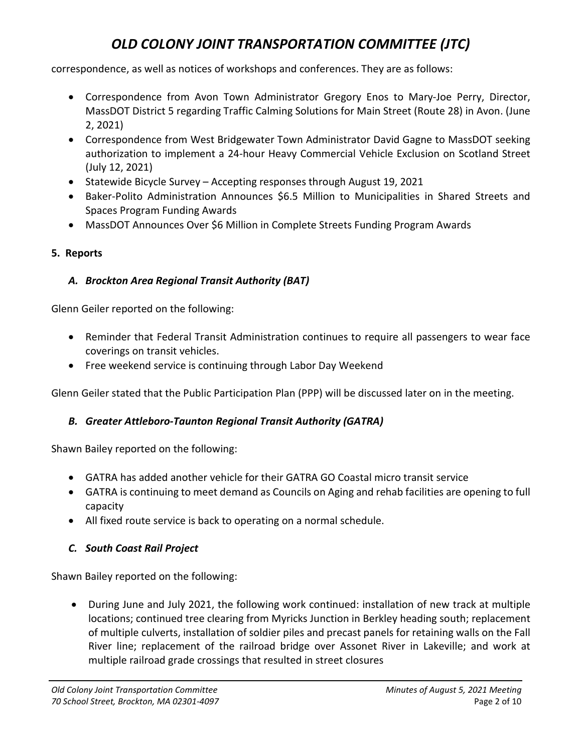correspondence, as well as notices of workshops and conferences. They are as follows:

- Correspondence from Avon Town Administrator Gregory Enos to Mary-Joe Perry, Director, MassDOT District 5 regarding Traffic Calming Solutions for Main Street (Route 28) in Avon. (June 2, 2021)
- Correspondence from West Bridgewater Town Administrator David Gagne to MassDOT seeking authorization to implement a 24-hour Heavy Commercial Vehicle Exclusion on Scotland Street (July 12, 2021)
- Statewide Bicycle Survey Accepting responses through August 19, 2021
- Baker-Polito Administration Announces \$6.5 Million to Municipalities in Shared Streets and Spaces Program Funding Awards
- MassDOT Announces Over \$6 Million in Complete Streets Funding Program Awards

### **5. Reports**

### *A. Brockton Area Regional Transit Authority (BAT)*

Glenn Geiler reported on the following:

- Reminder that Federal Transit Administration continues to require all passengers to wear face coverings on transit vehicles.
- Free weekend service is continuing through Labor Day Weekend

Glenn Geiler stated that the Public Participation Plan (PPP) will be discussed later on in the meeting.

### *B. Greater Attleboro-Taunton Regional Transit Authority (GATRA)*

Shawn Bailey reported on the following:

- GATRA has added another vehicle for their GATRA GO Coastal micro transit service
- GATRA is continuing to meet demand as Councils on Aging and rehab facilities are opening to full capacity
- All fixed route service is back to operating on a normal schedule.

### *C. South Coast Rail Project*

Shawn Bailey reported on the following:

• During June and July 2021, the following work continued: installation of new track at multiple locations; continued tree clearing from Myricks Junction in Berkley heading south; replacement of multiple culverts, installation of soldier piles and precast panels for retaining walls on the Fall River line; replacement of the railroad bridge over Assonet River in Lakeville; and work at multiple railroad grade crossings that resulted in street closures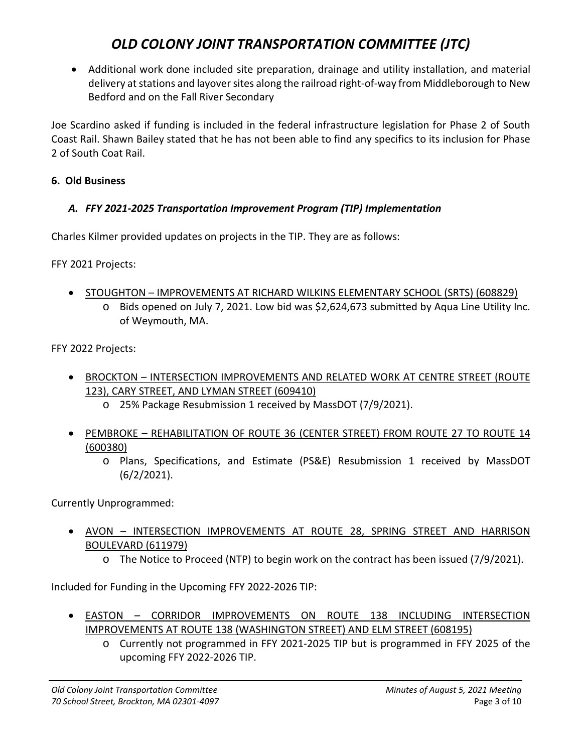• Additional work done included site preparation, drainage and utility installation, and material delivery at stations and layover sites along the railroad right-of-way from Middleborough to New Bedford and on the Fall River Secondary

Joe Scardino asked if funding is included in the federal infrastructure legislation for Phase 2 of South Coast Rail. Shawn Bailey stated that he has not been able to find any specifics to its inclusion for Phase 2 of South Coat Rail.

## **6. Old Business**

## *A. FFY 2021-2025 Transportation Improvement Program (TIP) Implementation*

Charles Kilmer provided updates on projects in the TIP. They are as follows:

FFY 2021 Projects:

- STOUGHTON IMPROVEMENTS AT RICHARD WILKINS ELEMENTARY SCHOOL (SRTS) (608829)
	- $\circ$  Bids opened on July 7, 2021. Low bid was \$2,624,673 submitted by Aqua Line Utility Inc. of Weymouth, MA.

FFY 2022 Projects:

- BROCKTON INTERSECTION IMPROVEMENTS AND RELATED WORK AT CENTRE STREET (ROUTE 123), CARY STREET, AND LYMAN STREET (609410)
	- o 25% Package Resubmission 1 received by MassDOT (7/9/2021).
- PEMBROKE REHABILITATION OF ROUTE 36 (CENTER STREET) FROM ROUTE 27 TO ROUTE 14 (600380)
	- o Plans, Specifications, and Estimate (PS&E) Resubmission 1 received by MassDOT (6/2/2021).

Currently Unprogrammed:

- AVON INTERSECTION IMPROVEMENTS AT ROUTE 28, SPRING STREET AND HARRISON BOULEVARD (611979)
	- o The Notice to Proceed (NTP) to begin work on the contract has been issued (7/9/2021).

Included for Funding in the Upcoming FFY 2022-2026 TIP:

- EASTON CORRIDOR IMPROVEMENTS ON ROUTE 138 INCLUDING INTERSECTION IMPROVEMENTS AT ROUTE 138 (WASHINGTON STREET) AND ELM STREET (608195)
	- o Currently not programmed in FFY 2021-2025 TIP but is programmed in FFY 2025 of the upcoming FFY 2022-2026 TIP.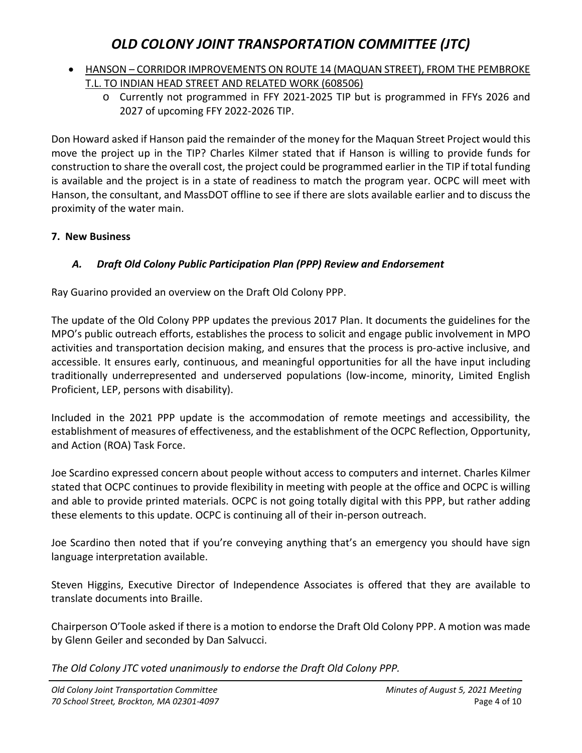- HANSON CORRIDOR IMPROVEMENTS ON ROUTE 14 (MAQUAN STREET), FROM THE PEMBROKE T.L. TO INDIAN HEAD STREET AND RELATED WORK (608506)
	- o Currently not programmed in FFY 2021-2025 TIP but is programmed in FFYs 2026 and 2027 of upcoming FFY 2022-2026 TIP.

Don Howard asked if Hanson paid the remainder of the money for the Maquan Street Project would this move the project up in the TIP? Charles Kilmer stated that if Hanson is willing to provide funds for construction to share the overall cost, the project could be programmed earlier in the TIP if total funding is available and the project is in a state of readiness to match the program year. OCPC will meet with Hanson, the consultant, and MassDOT offline to see if there are slots available earlier and to discuss the proximity of the water main.

### **7. New Business**

## *A. Draft Old Colony Public Participation Plan (PPP) Review and Endorsement*

Ray Guarino provided an overview on the Draft Old Colony PPP.

The update of the Old Colony PPP updates the previous 2017 Plan. It documents the guidelines for the MPO's public outreach efforts, establishes the process to solicit and engage public involvement in MPO activities and transportation decision making, and ensures that the process is pro-active inclusive, and accessible. It ensures early, continuous, and meaningful opportunities for all the have input including traditionally underrepresented and underserved populations (low-income, minority, Limited English Proficient, LEP, persons with disability).

Included in the 2021 PPP update is the accommodation of remote meetings and accessibility, the establishment of measures of effectiveness, and the establishment of the OCPC Reflection, Opportunity, and Action (ROA) Task Force.

Joe Scardino expressed concern about people without access to computers and internet. Charles Kilmer stated that OCPC continues to provide flexibility in meeting with people at the office and OCPC is willing and able to provide printed materials. OCPC is not going totally digital with this PPP, but rather adding these elements to this update. OCPC is continuing all of their in-person outreach.

Joe Scardino then noted that if you're conveying anything that's an emergency you should have sign language interpretation available.

Steven Higgins, Executive Director of Independence Associates is offered that they are available to translate documents into Braille.

Chairperson O'Toole asked if there is a motion to endorse the Draft Old Colony PPP. A motion was made by Glenn Geiler and seconded by Dan Salvucci.

*The Old Colony JTC voted unanimously to endorse the Draft Old Colony PPP.*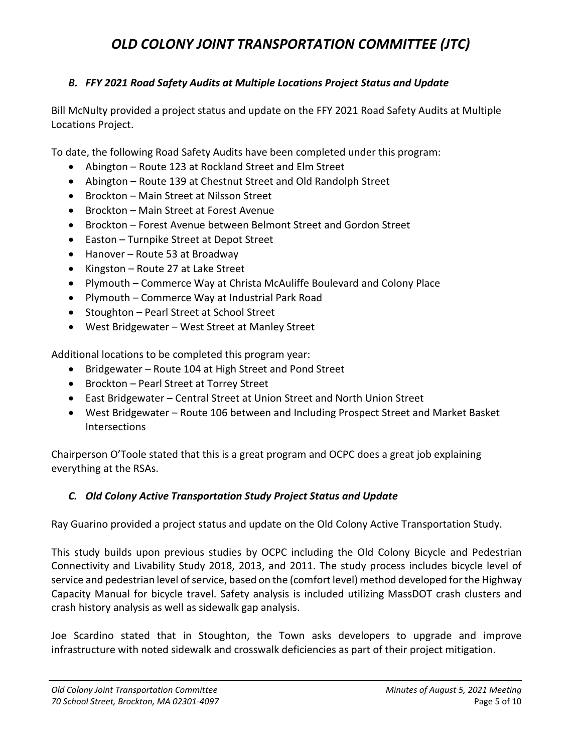## *B. FFY 2021 Road Safety Audits at Multiple Locations Project Status and Update*

Bill McNulty provided a project status and update on the FFY 2021 Road Safety Audits at Multiple Locations Project.

To date, the following Road Safety Audits have been completed under this program:

- Abington Route 123 at Rockland Street and Elm Street
- Abington Route 139 at Chestnut Street and Old Randolph Street
- Brockton Main Street at Nilsson Street
- Brockton Main Street at Forest Avenue
- Brockton Forest Avenue between Belmont Street and Gordon Street
- Easton Turnpike Street at Depot Street
- Hanover Route 53 at Broadway
- Kingston Route 27 at Lake Street
- Plymouth Commerce Way at Christa McAuliffe Boulevard and Colony Place
- Plymouth Commerce Way at Industrial Park Road
- Stoughton Pearl Street at School Street
- West Bridgewater West Street at Manley Street

Additional locations to be completed this program year:

- Bridgewater Route 104 at High Street and Pond Street
- Brockton Pearl Street at Torrey Street
- East Bridgewater Central Street at Union Street and North Union Street
- West Bridgewater Route 106 between and Including Prospect Street and Market Basket Intersections

Chairperson O'Toole stated that this is a great program and OCPC does a great job explaining everything at the RSAs.

### *C. Old Colony Active Transportation Study Project Status and Update*

Ray Guarino provided a project status and update on the Old Colony Active Transportation Study.

This study builds upon previous studies by OCPC including the Old Colony Bicycle and Pedestrian Connectivity and Livability Study 2018, 2013, and 2011. The study process includes bicycle level of service and pedestrian level of service, based on the (comfort level) method developed for the Highway Capacity Manual for bicycle travel. Safety analysis is included utilizing MassDOT crash clusters and crash history analysis as well as sidewalk gap analysis.

Joe Scardino stated that in Stoughton, the Town asks developers to upgrade and improve infrastructure with noted sidewalk and crosswalk deficiencies as part of their project mitigation.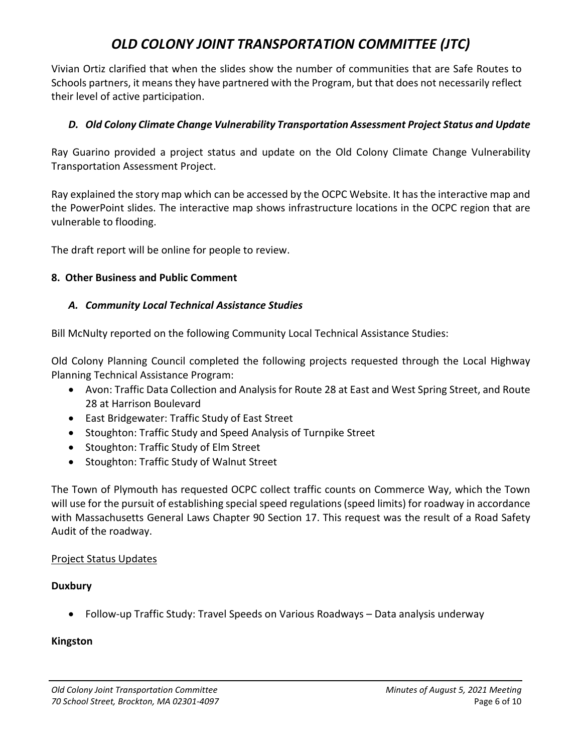Vivian Ortiz clarified that when the slides show the number of communities that are Safe Routes to Schools partners, it means they have partnered with the Program, but that does not necessarily reflect their level of active participation.

### *D. Old Colony Climate Change Vulnerability Transportation Assessment Project Status and Update*

Ray Guarino provided a project status and update on the Old Colony Climate Change Vulnerability Transportation Assessment Project.

Ray explained the story map which can be accessed by the OCPC Website. It has the interactive map and the PowerPoint slides. The interactive map shows infrastructure locations in the OCPC region that are vulnerable to flooding.

The draft report will be online for people to review.

#### **8. Other Business and Public Comment**

#### *A. Community Local Technical Assistance Studies*

Bill McNulty reported on the following Community Local Technical Assistance Studies:

Old Colony Planning Council completed the following projects requested through the Local Highway Planning Technical Assistance Program:

- Avon: Traffic Data Collection and Analysis for Route 28 at East and West Spring Street, and Route 28 at Harrison Boulevard
- East Bridgewater: Traffic Study of East Street
- Stoughton: Traffic Study and Speed Analysis of Turnpike Street
- Stoughton: Traffic Study of Elm Street
- Stoughton: Traffic Study of Walnut Street

The Town of Plymouth has requested OCPC collect traffic counts on Commerce Way, which the Town will use for the pursuit of establishing special speed regulations (speed limits) for roadway in accordance with Massachusetts General Laws Chapter 90 Section 17. This request was the result of a Road Safety Audit of the roadway.

#### Project Status Updates

#### **Duxbury**

• Follow-up Traffic Study: Travel Speeds on Various Roadways – Data analysis underway

#### **Kingston**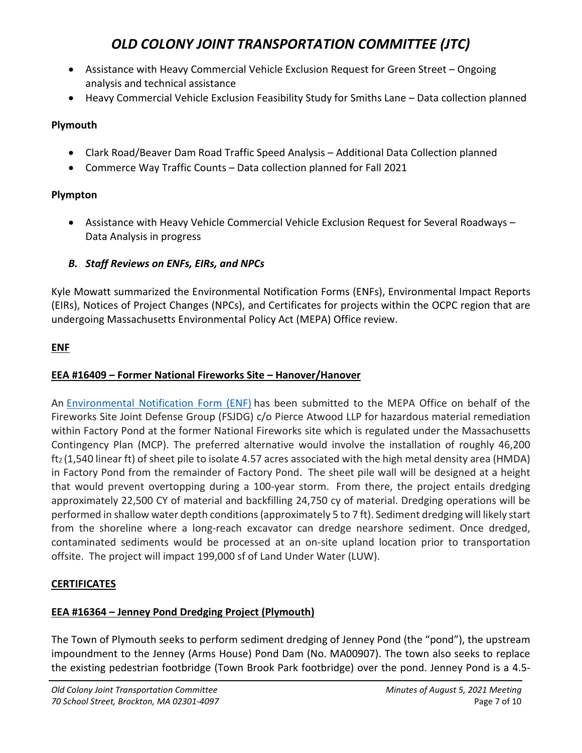- Assistance with Heavy Commercial Vehicle Exclusion Request for Green Street Ongoing analysis and technical assistance
- Heavy Commercial Vehicle Exclusion Feasibility Study for Smiths Lane Data collection planned

## **Plymouth**

- Clark Road/Beaver Dam Road Traffic Speed Analysis Additional Data Collection planned
- Commerce Way Traffic Counts Data collection planned for Fall 2021

## **Plympton**

• Assistance with Heavy Vehicle Commercial Vehicle Exclusion Request for Several Roadways – Data Analysis in progress

# *B. Staff Reviews on ENFs, EIRs, and NPCs*

Kyle Mowatt summarized the Environmental Notification Forms (ENFs), Environmental Impact Reports (EIRs), Notices of Project Changes (NPCs), and Certificates for projects within the OCPC region that are undergoing Massachusetts Environmental Policy Act (MEPA) Office review.

# **ENF**

## **EEA #16409 – Former National Fireworks Site – Hanover/Hanover**

An [Environmental](https://amermft.tetratech.com/link/TQieael8q0zKmvgU0nBYMK) Notification Form (ENF) has been submitted to the MEPA Office on behalf of the Fireworks Site Joint Defense Group (FSJDG) c/o Pierce Atwood LLP for hazardous material remediation within Factory Pond at the former National Fireworks site which is regulated under the Massachusetts Contingency Plan (MCP). The preferred alternative would involve the installation of roughly 46,200 ft2 (1,540 linear ft) of sheet pile to isolate 4.57 acres associated with the high metal density area (HMDA) in Factory Pond from the remainder of Factory Pond. The sheet pile wall will be designed at a height that would prevent overtopping during a 100-year storm. From there, the project entails dredging approximately 22,500 CY of material and backfilling 24,750 cy of material. Dredging operations will be performed in shallow water depth conditions(approximately 5 to 7 ft). Sediment dredging will likely start from the shoreline where a long-reach excavator can dredge nearshore sediment. Once dredged, contaminated sediments would be processed at an on-site upland location prior to transportation offsite. The project will impact 199,000 sf of Land Under Water (LUW).

## **CERTIFICATES**

# **EEA #16364 – Jenney Pond Dredging Project (Plymouth)**

The Town of Plymouth seeks to perform sediment dredging of Jenney Pond (the "pond"), the upstream impoundment to the Jenney (Arms House) Pond Dam (No. MA00907). The town also seeks to replace the existing pedestrian footbridge (Town Brook Park footbridge) over the pond. Jenney Pond is a 4.5-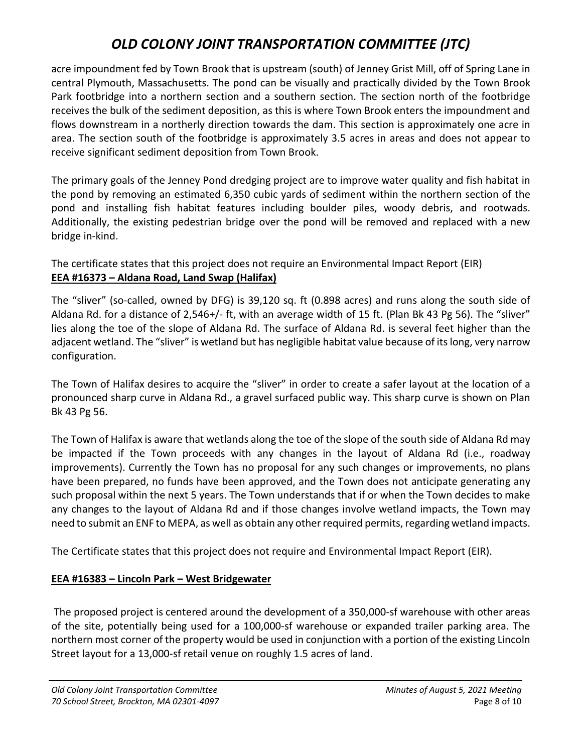acre impoundment fed by Town Brook that is upstream (south) of Jenney Grist Mill, off of Spring Lane in central Plymouth, Massachusetts. The pond can be visually and practically divided by the Town Brook Park footbridge into a northern section and a southern section. The section north of the footbridge receives the bulk of the sediment deposition, as this is where Town Brook enters the impoundment and flows downstream in a northerly direction towards the dam. This section is approximately one acre in area. The section south of the footbridge is approximately 3.5 acres in areas and does not appear to receive significant sediment deposition from Town Brook.

The primary goals of the Jenney Pond dredging project are to improve water quality and fish habitat in the pond by removing an estimated 6,350 cubic yards of sediment within the northern section of the pond and installing fish habitat features including boulder piles, woody debris, and rootwads. Additionally, the existing pedestrian bridge over the pond will be removed and replaced with a new bridge in-kind.

The certificate states that this project does not require an Environmental Impact Report (EIR) **EEA #16373 – Aldana Road, Land Swap (Halifax)**

The "sliver" (so-called, owned by DFG) is 39,120 sq. ft (0.898 acres) and runs along the south side of Aldana Rd. for a distance of 2,546+/- ft, with an average width of 15 ft. (Plan Bk 43 Pg 56). The "sliver" lies along the toe of the slope of Aldana Rd. The surface of Aldana Rd. is several feet higher than the adjacent wetland. The "sliver" is wetland but has negligible habitat value because of its long, very narrow configuration.

The Town of Halifax desires to acquire the "sliver" in order to create a safer layout at the location of a pronounced sharp curve in Aldana Rd., a gravel surfaced public way. This sharp curve is shown on Plan Bk 43 Pg 56.

The Town of Halifax is aware that wetlands along the toe of the slope of the south side of Aldana Rd may be impacted if the Town proceeds with any changes in the layout of Aldana Rd (i.e., roadway improvements). Currently the Town has no proposal for any such changes or improvements, no plans have been prepared, no funds have been approved, and the Town does not anticipate generating any such proposal within the next 5 years. The Town understands that if or when the Town decides to make any changes to the layout of Aldana Rd and if those changes involve wetland impacts, the Town may need to submit an ENF to MEPA, as well as obtain any other required permits, regarding wetland impacts.

The Certificate states that this project does not require and Environmental Impact Report (EIR).

### **EEA #16383 – Lincoln Park – West Bridgewater**

The proposed project is centered around the development of a 350,000-sf warehouse with other areas of the site, potentially being used for a 100,000-sf warehouse or expanded trailer parking area. The northern most corner of the property would be used in conjunction with a portion of the existing Lincoln Street layout for a 13,000-sf retail venue on roughly 1.5 acres of land.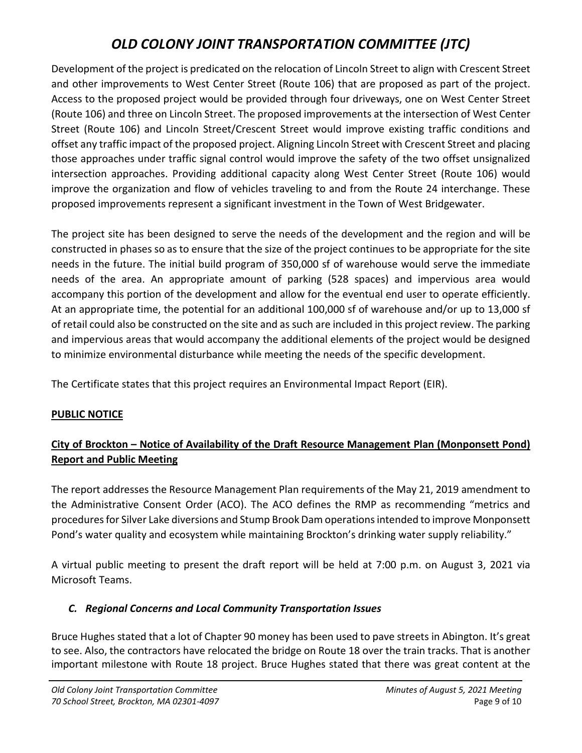Development of the project is predicated on the relocation of Lincoln Street to align with Crescent Street and other improvements to West Center Street (Route 106) that are proposed as part of the project. Access to the proposed project would be provided through four driveways, one on West Center Street (Route 106) and three on Lincoln Street. The proposed improvements at the intersection of West Center Street (Route 106) and Lincoln Street/Crescent Street would improve existing traffic conditions and offset any traffic impact of the proposed project. Aligning Lincoln Street with Crescent Street and placing those approaches under traffic signal control would improve the safety of the two offset unsignalized intersection approaches. Providing additional capacity along West Center Street (Route 106) would improve the organization and flow of vehicles traveling to and from the Route 24 interchange. These proposed improvements represent a significant investment in the Town of West Bridgewater.

The project site has been designed to serve the needs of the development and the region and will be constructed in phases so as to ensure that the size of the project continues to be appropriate for the site needs in the future. The initial build program of 350,000 sf of warehouse would serve the immediate needs of the area. An appropriate amount of parking (528 spaces) and impervious area would accompany this portion of the development and allow for the eventual end user to operate efficiently. At an appropriate time, the potential for an additional 100,000 sf of warehouse and/or up to 13,000 sf of retail could also be constructed on the site and as such are included in this project review. The parking and impervious areas that would accompany the additional elements of the project would be designed to minimize environmental disturbance while meeting the needs of the specific development.

The Certificate states that this project requires an Environmental Impact Report (EIR).

### **PUBLIC NOTICE**

# **City of Brockton – Notice of Availability of the Draft Resource Management Plan (Monponsett Pond) Report and Public Meeting**

The report addresses the Resource Management Plan requirements of the May 21, 2019 amendment to the Administrative Consent Order (ACO). The ACO defines the RMP as recommending "metrics and procedures for Silver Lake diversions and Stump Brook Dam operations intended to improve Monponsett Pond's water quality and ecosystem while maintaining Brockton's drinking water supply reliability."

A virtual public meeting to present the draft report will be held at 7:00 p.m. on August 3, 2021 via Microsoft Teams.

## *C. Regional Concerns and Local Community Transportation Issues*

Bruce Hughes stated that a lot of Chapter 90 money has been used to pave streets in Abington. It's great to see. Also, the contractors have relocated the bridge on Route 18 over the train tracks. That is another important milestone with Route 18 project. Bruce Hughes stated that there was great content at the